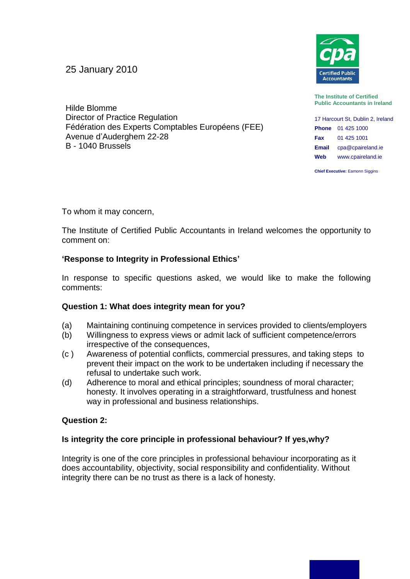25 January 2010



**The Institute of Certified Public Accountants in Ireland**

17 Harcourt St, Dublin 2, Ireland **Phone** 01 425 1000 **Fax** 01 425 1001 **Email** cpa@cpaireland.ie **Web** www.cpaireland.ie

**Chief Executive: Eamonn Siggins** 

Hilde Blomme Director of Practice Regulation Fédération des Experts Comptables Européens (FEE) Avenue d'Auderghem 22-28 B - 1040 Brussels

To whom it may concern,

The Institute of Certified Public Accountants in Ireland welcomes the opportunity to comment on:

# **'Response to Integrity in Professional Ethics'**

In response to specific questions asked, we would like to make the following comments:

# **Question 1: What does integrity mean for you?**

- (a) Maintaining continuing competence in services provided to clients/employers
- (b) Willingness to express views or admit lack of sufficient competence/errors irrespective of the consequences,
- (c ) Awareness of potential conflicts, commercial pressures, and taking steps to prevent their impact on the work to be undertaken including if necessary the refusal to undertake such work.
- (d) Adherence to moral and ethical principles; soundness of moral character; honesty. It involves operating in a straightforward, trustfulness and honest way in professional and business relationships.

# **Question 2:**

# **Is integrity the core principle in professional behaviour? If yes,why?**

Integrity is one of the core principles in professional behaviour incorporating as it does accountability, objectivity, social responsibility and confidentiality. Without integrity there can be no trust as there is a lack of honesty.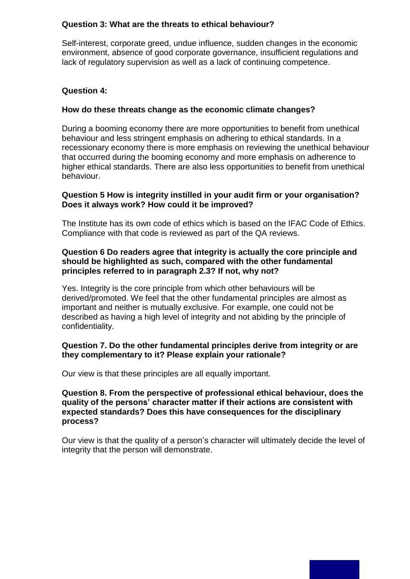#### **Question 3: What are the threats to ethical behaviour?**

Self-interest, corporate greed, undue influence, sudden changes in the economic environment, absence of good corporate governance, insufficient regulations and lack of regulatory supervision as well as a lack of continuing competence.

### **Question 4:**

### **How do these threats change as the economic climate changes?**

During a booming economy there are more opportunities to benefit from unethical behaviour and less stringent emphasis on adhering to ethical standards. In a recessionary economy there is more emphasis on reviewing the unethical behaviour that occurred during the booming economy and more emphasis on adherence to higher ethical standards. There are also less opportunities to benefit from unethical behaviour.

### **Question 5 How is integrity instilled in your audit firm or your organisation? Does it always work? How could it be improved?**

The Institute has its own code of ethics which is based on the IFAC Code of Ethics. Compliance with that code is reviewed as part of the QA reviews.

### **Question 6 Do readers agree that integrity is actually the core principle and should be highlighted as such, compared with the other fundamental principles referred to in paragraph 2.3? If not, why not?**

Yes. Integrity is the core principle from which other behaviours will be derived/promoted. We feel that the other fundamental principles are almost as important and neither is mutually exclusive. For example, one could not be described as having a high level of integrity and not abiding by the principle of confidentiality.

### **Question 7. Do the other fundamental principles derive from integrity or are they complementary to it? Please explain your rationale?**

Our view is that these principles are all equally important.

### **Question 8. From the perspective of professional ethical behaviour, does the quality of the persons' character matter if their actions are consistent with expected standards? Does this have consequences for the disciplinary process?**

Our view is that the quality of a person's character will ultimately decide the level of integrity that the person will demonstrate.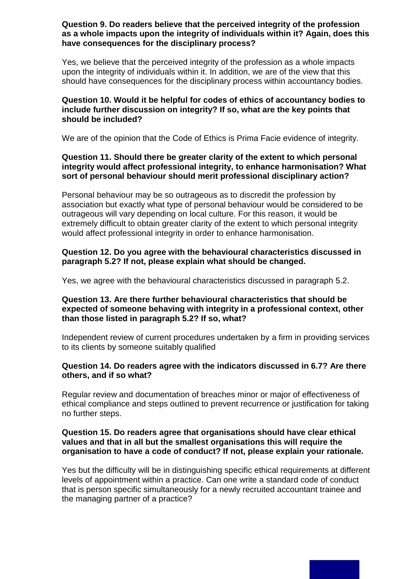#### **Question 9. Do readers believe that the perceived integrity of the profession as a whole impacts upon the integrity of individuals within it? Again, does this have consequences for the disciplinary process?**

Yes, we believe that the perceived integrity of the profession as a whole impacts upon the integrity of individuals within it. In addition, we are of the view that this should have consequences for the disciplinary process within accountancy bodies.

#### **Question 10. Would it be helpful for codes of ethics of accountancy bodies to include further discussion on integrity? If so, what are the key points that should be included?**

We are of the opinion that the Code of Ethics is Prima Facie evidence of integrity.

#### **Question 11. Should there be greater clarity of the extent to which personal integrity would affect professional integrity, to enhance harmonisation? What sort of personal behaviour should merit professional disciplinary action?**

Personal behaviour may be so outrageous as to discredit the profession by association but exactly what type of personal behaviour would be considered to be outrageous will vary depending on local culture. For this reason, it would be extremely difficult to obtain greater clarity of the extent to which personal integrity would affect professional integrity in order to enhance harmonisation.

## **Question 12. Do you agree with the behavioural characteristics discussed in paragraph 5.2? If not, please explain what should be changed.**

Yes, we agree with the behavioural characteristics discussed in paragraph 5.2.

### **Question 13. Are there further behavioural characteristics that should be expected of someone behaving with integrity in a professional context, other than those listed in paragraph 5.2? If so, what?**

Independent review of current procedures undertaken by a firm in providing services to its clients by someone suitably qualified

### **Question 14. Do readers agree with the indicators discussed in 6.7? Are there others, and if so what?**

Regular review and documentation of breaches minor or major of effectiveness of ethical compliance and steps outlined to prevent recurrence or justification for taking no further steps.

#### **Question 15. Do readers agree that organisations should have clear ethical values and that in all but the smallest organisations this will require the organisation to have a code of conduct? If not, please explain your rationale.**

Yes but the difficulty will be in distinguishing specific ethical requirements at different levels of appointment within a practice. Can one write a standard code of conduct that is person specific simultaneously for a newly recruited accountant trainee and the managing partner of a practice?